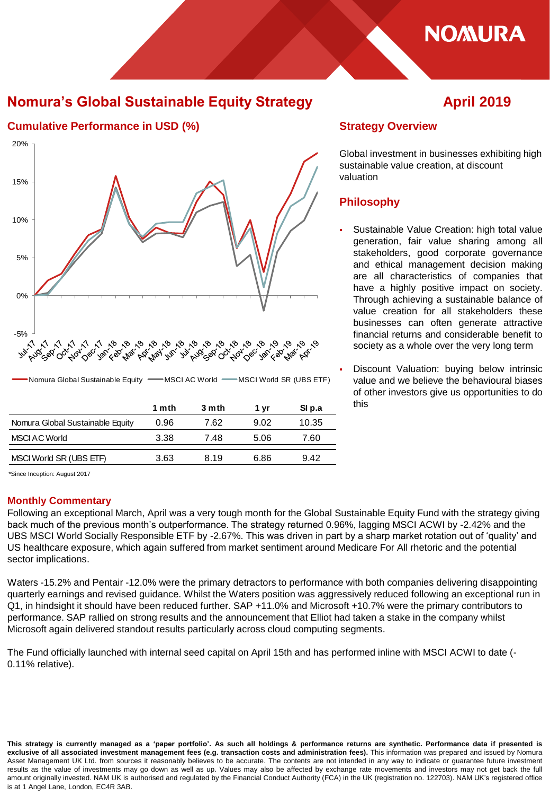

## **Nomura's Global Sustainable Equity Strategy April 2019**

**Cumulative Performance in USD (%) Strategy Overview** 20% 15% 10% 5% 0% -5% **San Cap Mar Agail** why **Audical Oct Joy Oct Max Nov-Oec** ్టుల్డ<sub>ల్</sub>ళ రెం **BECO** Nomura Global Sustainable Equity - MSCI AC World - MSCI World SR (UBS ETF) **1 mth 3 mth 1 yr SI p.a** Nomura Global Sustainable Equity 0.96 7.62 9.02 10.35 MSCI AC World 3.38 7.48 5.06 7.60 MSCI World SR (UBS ETF)  $3.63$  8.19 6.86 9.42

Global investment in businesses exhibiting high sustainable value creation, at discount valuation

## **Philosophy**

 Sustainable Value Creation: high total value generation, fair value sharing among all stakeholders, good corporate governance and ethical management decision making are all characteristics of companies that have a highly positive impact on society. Through achieving a sustainable balance of value creation for all stakeholders these businesses can often generate attractive financial returns and considerable benefit to society as a whole over the very long term

 Discount Valuation: buying below intrinsic value and we believe the behavioural biases of other investors give us opportunities to do this

\*Since Inception: August 2017

## **Monthly Commentary**

Following an exceptional March, April was a very tough month for the Global Sustainable Equity Fund with the strategy giving back much of the previous month's outperformance. The strategy returned 0.96%, lagging MSCI ACWI by -2.42% and the UBS MSCI World Socially Responsible ETF by -2.67%. This was driven in part by a sharp market rotation out of 'quality' and US healthcare exposure, which again suffered from market sentiment around Medicare For All rhetoric and the potential sector implications.

Waters -15.2% and Pentair -12.0% were the primary detractors to performance with both companies delivering disappointing quarterly earnings and revised guidance. Whilst the Waters position was aggressively reduced following an exceptional run in Q1, in hindsight it should have been reduced further. SAP +11.0% and Microsoft +10.7% were the primary contributors to performance. SAP rallied on strong results and the announcement that Elliot had taken a stake in the company whilst Microsoft again delivered standout results particularly across cloud computing segments.

The Fund officially launched with internal seed capital on April 15th and has performed inline with MSCI ACWI to date (- 0.11% relative).

This strategy is currently managed as a 'paper portfolio'. As such all holdings & performance returns are synthetic. Performance data if presented is exclusive of all associated investment management fees (e.g. transaction costs and administration fees). This information was prepared and issued by Nomura Asset Management UK Ltd. from sources it reasonably believes to be accurate. The contents are not intended in any way to indicate or guarantee future investment results as the value of investments may go down as well as up. Values may also be affected by exchange rate movements and investors may not get back the full amount originally invested. NAM UK is authorised and regulated by the Financial Conduct Authority (FCA) in the UK (registration no. 122703). NAM UK's registered office is at 1 Angel Lane, London, EC4R 3AB.